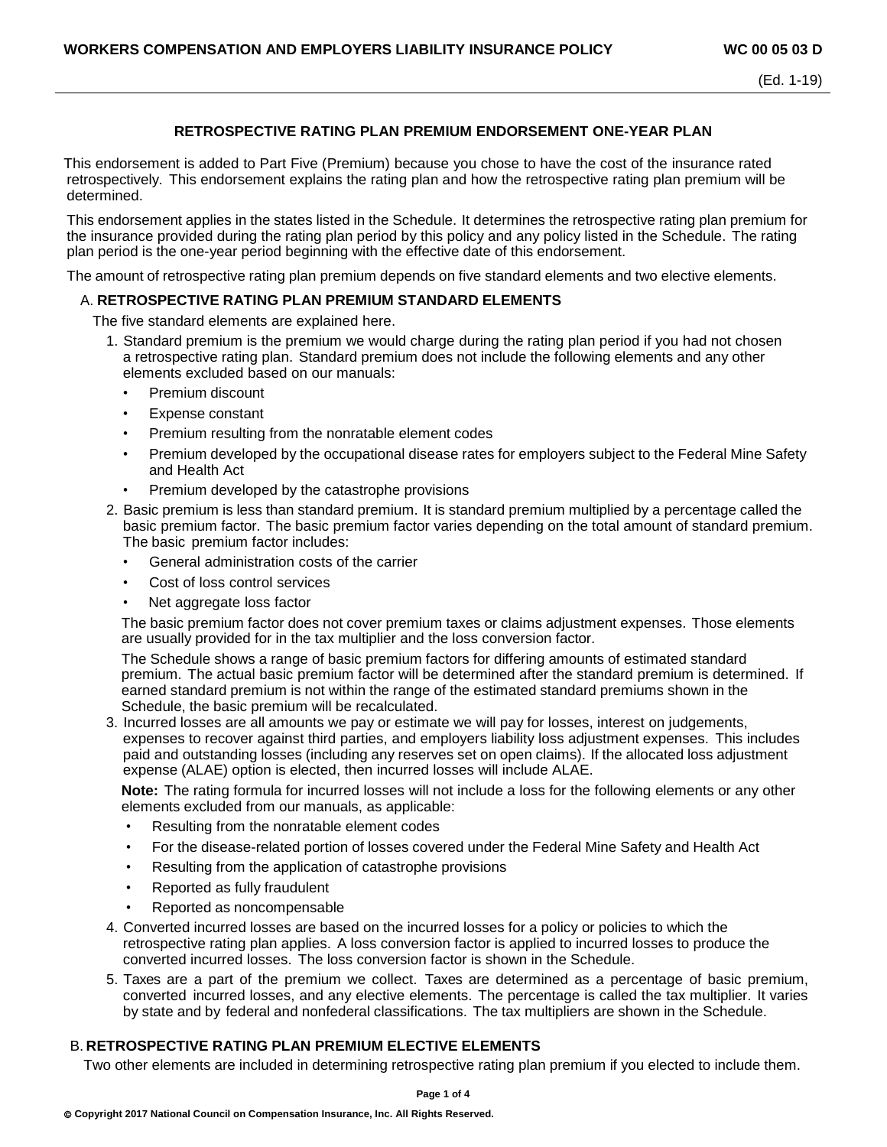## **RETROSPECTIVE RATING PLAN PREMIUM ENDORSEMENT ONE-YEAR PLAN**

This endorsement is added to Part Five (Premium) because you chose to have the cost of the insurance rated retrospectively. This endorsement explains the rating plan and how the retrospective rating plan premium will be determined.

This endorsement applies in the states listed in the Schedule. It determines the retrospective rating plan premium for the insurance provided during the rating plan period by this policy and any policy listed in the Schedule. The rating plan period is the one-year period beginning with the effective date of this endorsement.

The amount of retrospective rating plan premium depends on five standard elements and two elective elements.

### A. **RETROSPECTIVE RATING PLAN PREMIUM STANDARD ELEMENTS**

The five standard elements are explained here.

- 1. Standard premium is the premium we would charge during the rating plan period if you had not chosen a retrospective rating plan. Standard premium does not include the following elements and any other elements excluded based on our manuals:
	- Premium discount
	- Expense constant
	- Premium resulting from the nonratable element codes
	- Premium developed by the occupational disease rates for employers subject to the Federal Mine Safety and Health Act
	- Premium developed by the catastrophe provisions
- 2. Basic premium is less than standard premium. It is standard premium multiplied by a percentage called the basic premium factor. The basic premium factor varies depending on the total amount of standard premium. The basic premium factor includes:
	- General administration costs of the carrier
	- Cost of loss control services
	- Net aggregate loss factor

The basic premium factor does not cover premium taxes or claims adjustment expenses. Those elements are usually provided for in the tax multiplier and the loss conversion factor.

The Schedule shows a range of basic premium factors for differing amounts of estimated standard premium. The actual basic premium factor will be determined after the standard premium is determined. If earned standard premium is not within the range of the estimated standard premiums shown in the Schedule, the basic premium will be recalculated.

3. Incurred losses are all amounts we pay or estimate we will pay for losses, interest on judgements, expenses to recover against third parties, and employers liability loss adjustment expenses. This includes paid and outstanding losses (including any reserves set on open claims). If the allocated loss adjustment expense (ALAE) option is elected, then incurred losses will include ALAE.

**Note:** The rating formula for incurred losses will not include a loss for the following elements or any other elements excluded from our manuals, as applicable:

- Resulting from the nonratable element codes
- For the disease-related portion of losses covered under the Federal Mine Safety and Health Act
- Resulting from the application of catastrophe provisions
- Reported as fully fraudulent
- Reported as noncompensable
- 4. Converted incurred losses are based on the incurred losses for a policy or policies to which the retrospective rating plan applies. A loss conversion factor is applied to incurred losses to produce the converted incurred losses. The loss conversion factor is shown in the Schedule.
- 5. Taxes are a part of the premium we collect. Taxes are determined as a percentage of basic premium, converted incurred losses, and any elective elements. The percentage is called the tax multiplier. It varies by state and by federal and nonfederal classifications. The tax multipliers are shown in the Schedule.

### B. **RETROSPECTIVE RATING PLAN PREMIUM ELECTIVE ELEMENTS**

Two other elements are included in determining retrospective rating plan premium if you elected to include them.

**Page 1 of 4**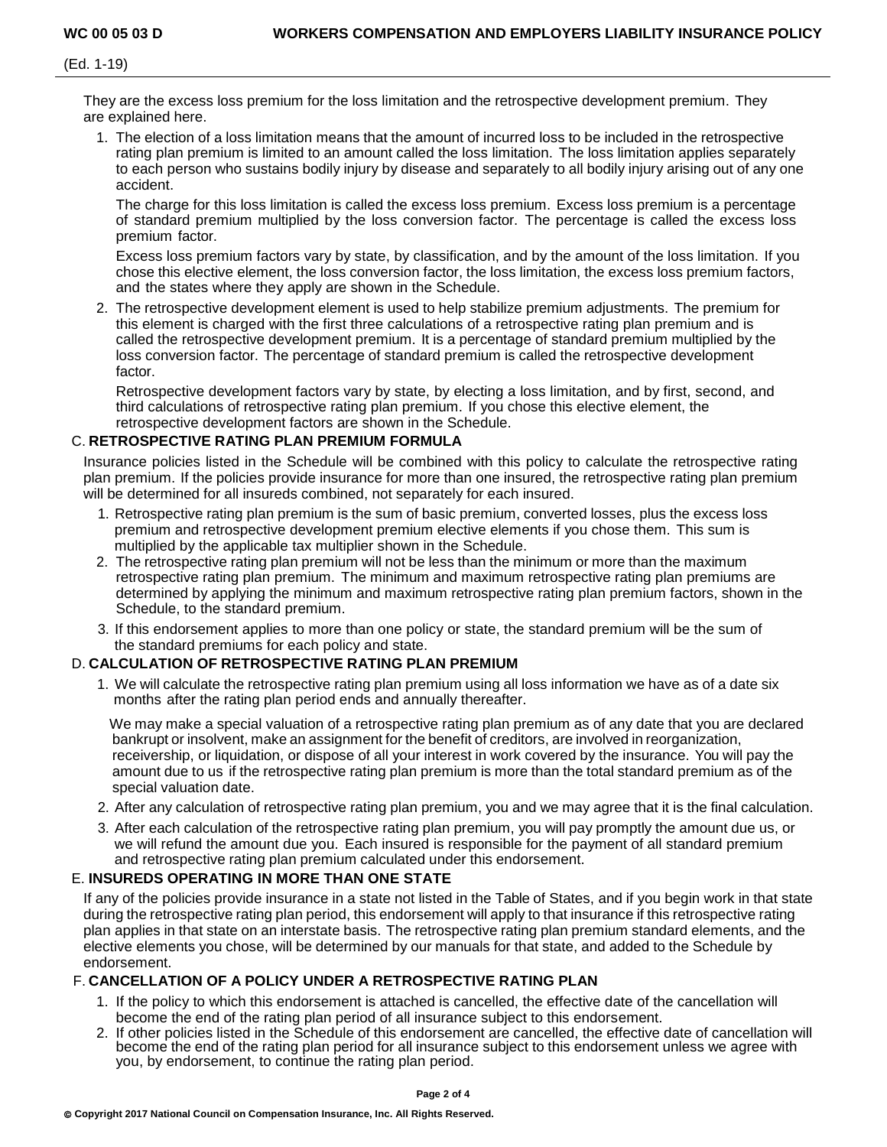They are the excess loss premium for the loss limitation and the retrospective development premium. They are explained here.

1. The election of a loss limitation means that the amount of incurred loss to be included in the retrospective rating plan premium is limited to an amount called the loss limitation. The loss limitation applies separately to each person who sustains bodily injury by disease and separately to all bodily injury arising out of any one accident.

The charge for this loss limitation is called the excess loss premium. Excess loss premium is a percentage of standard premium multiplied by the loss conversion factor. The percentage is called the excess loss premium factor.

Excess loss premium factors vary by state, by classification, and by the amount of the loss limitation. If you chose this elective element, the loss conversion factor, the loss limitation, the excess loss premium factors, and the states where they apply are shown in the Schedule.

2. The retrospective development element is used to help stabilize premium adjustments. The premium for this element is charged with the first three calculations of a retrospective rating plan premium and is called the retrospective development premium. It is a percentage of standard premium multiplied by the loss conversion factor. The percentage of standard premium is called the retrospective development factor.

Retrospective development factors vary by state, by electing a loss limitation, and by first, second, and third calculations of retrospective rating plan premium. If you chose this elective element, the retrospective development factors are shown in the Schedule.

# C. **RETROSPECTIVE RATING PLAN PREMIUM FORMULA**

Insurance policies listed in the Schedule will be combined with this policy to calculate the retrospective rating plan premium. If the policies provide insurance for more than one insured, the retrospective rating plan premium will be determined for all insureds combined, not separately for each insured.

- 1. Retrospective rating plan premium is the sum of basic premium, converted losses, plus the excess loss premium and retrospective development premium elective elements if you chose them. This sum is multiplied by the applicable tax multiplier shown in the Schedule.
- 2. The retrospective rating plan premium will not be less than the minimum or more than the maximum retrospective rating plan premium. The minimum and maximum retrospective rating plan premiums are determined by applying the minimum and maximum retrospective rating plan premium factors, shown in the Schedule, to the standard premium.
- 3. If this endorsement applies to more than one policy or state, the standard premium will be the sum of the standard premiums for each policy and state.

# D. **CALCULATION OF RETROSPECTIVE RATING PLAN PREMIUM**

1. We will calculate the retrospective rating plan premium using all loss information we have as of a date six months after the rating plan period ends and annually thereafter.

We may make a special valuation of a retrospective rating plan premium as of any date that you are declared bankrupt or insolvent, make an assignment for the benefit of creditors, are involved in reorganization, receivership, or liquidation, or dispose of all your interest in work covered by the insurance. You will pay the amount due to us if the retrospective rating plan premium is more than the total standard premium as of the special valuation date.

- 2. After any calculation of retrospective rating plan premium, you and we may agree that it is the final calculation.
- 3. After each calculation of the retrospective rating plan premium, you will pay promptly the amount due us, or we will refund the amount due you. Each insured is responsible for the payment of all standard premium and retrospective rating plan premium calculated under this endorsement.

# E. **INSUREDS OPERATING IN MORE THAN ONE STATE**

If any of the policies provide insurance in a state not listed in the Table of States, and if you begin work in that state during the retrospective rating plan period, this endorsement will apply to that insurance if this retrospective rating plan applies in that state on an interstate basis. The retrospective rating plan premium standard elements, and the elective elements you chose, will be determined by our manuals for that state, and added to the Schedule by endorsement.

# F. **CANCELLATION OF A POLICY UNDER A RETROSPECTIVE RATING PLAN**

- 1. If the policy to which this endorsement is attached is cancelled, the effective date of the cancellation will become the end of the rating plan period of all insurance subject to this endorsement.
- 2. If other policies listed in the Schedule of this endorsement are cancelled, the effective date of cancellation will become the end of the rating plan period for all insurance subject to this endorsement unless we agree with you, by endorsement, to continue the rating plan period.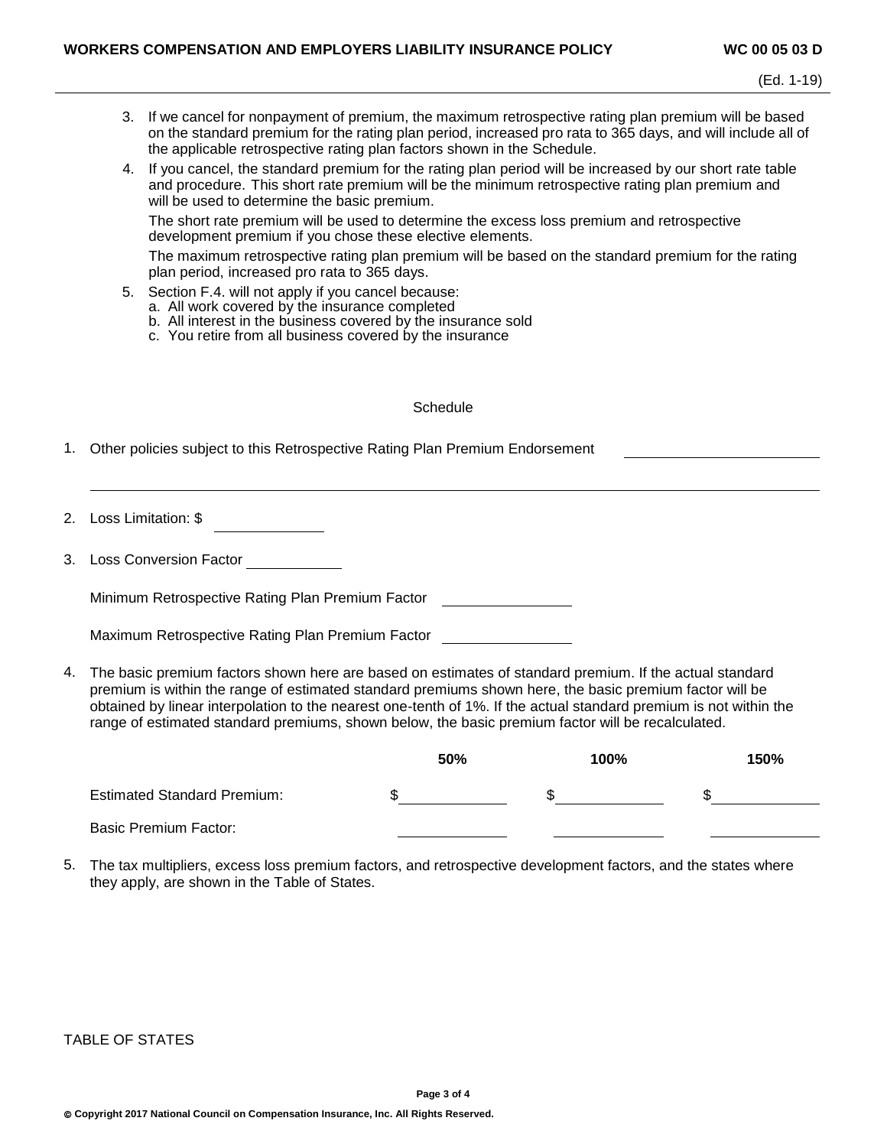- 3. If we cancel for nonpayment of premium, the maximum retrospective rating plan premium will be based on the standard premium for the rating plan period, increased pro rata to 365 days, and will include all of the applicable retrospective rating plan factors shown in the Schedule.
- 4. If you cancel, the standard premium for the rating plan period will be increased by our short rate table and procedure. This short rate premium will be the minimum retrospective rating plan premium and will be used to determine the basic premium.

The short rate premium will be used to determine the excess loss premium and retrospective development premium if you chose these elective elements.

The maximum retrospective rating plan premium will be based on the standard premium for the rating plan period, increased pro rata to 365 days.

- 5. Section F.4. will not apply if you cancel because:
	- a. All work covered by the insurance completed
	- b. All interest in the business covered by the insurance sold
	- c. You retire from all business covered by the insurance

#### **Schedule**

- 1. Other policies subject to this Retrospective Rating Plan Premium Endorsement
- 2. Loss Limitation: \$
- 3. Loss Conversion Factor

Minimum Retrospective Rating Plan Premium Factor

| Maximum Retrospective Rating Plan Premium Factor |
|--------------------------------------------------|
|                                                  |
|                                                  |

4. The basic premium factors shown here are based on estimates of standard premium. If the actual standard premium is within the range of estimated standard premiums shown here, the basic premium factor will be obtained by linear interpolation to the nearest one-tenth of 1%. If the actual standard premium is not within the range of estimated standard premiums, shown below, the basic premium factor will be recalculated.

|                                    | 50% | 100% | 150% |
|------------------------------------|-----|------|------|
| <b>Estimated Standard Premium:</b> |     |      | ٠D   |
| <b>Basic Premium Factor:</b>       |     |      |      |

5. The tax multipliers, excess loss premium factors, and retrospective development factors, and the states where they apply, are shown in the Table of States.

TABLE OF STATES